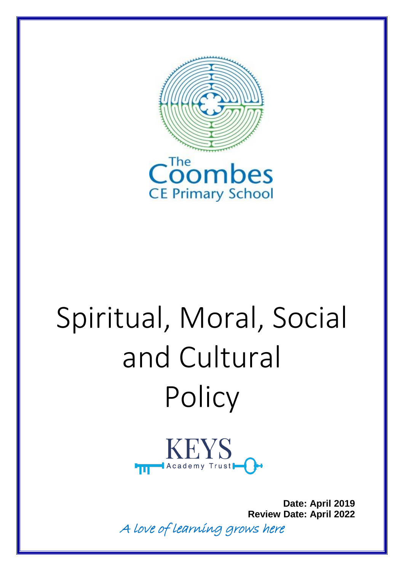



# Spiritual, Moral, Social and Cultural **Policy**



**Date: April 2019 Review Date: April 2022**

A love of learning grows here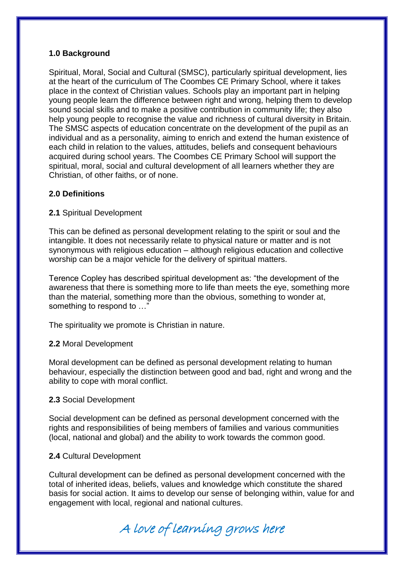### **1.0 Background**

Spiritual, Moral, Social and Cultural (SMSC), particularly spiritual development, lies at the heart of the curriculum of The Coombes CE Primary School, where it takes place in the context of Christian values. Schools play an important part in helping young people learn the difference between right and wrong, helping them to develop sound social skills and to make a positive contribution in community life; they also help young people to recognise the value and richness of cultural diversity in Britain. The SMSC aspects of education concentrate on the development of the pupil as an individual and as a personality, aiming to enrich and extend the human existence of each child in relation to the values, attitudes, beliefs and consequent behaviours acquired during school years. The Coombes CE Primary School will support the spiritual, moral, social and cultural development of all learners whether they are Christian, of other faiths, or of none.

### **2.0 Definitions**

### **2.1** Spiritual Development

This can be defined as personal development relating to the spirit or soul and the intangible. It does not necessarily relate to physical nature or matter and is not synonymous with religious education – although religious education and collective worship can be a major vehicle for the delivery of spiritual matters.

Terence Copley has described spiritual development as: "the development of the awareness that there is something more to life than meets the eye, something more than the material, something more than the obvious, something to wonder at, something to respond to …"

The spirituality we promote is Christian in nature.

#### **2.2** Moral Development

Moral development can be defined as personal development relating to human behaviour, especially the distinction between good and bad, right and wrong and the ability to cope with moral conflict.

#### **2.3** Social Development

Social development can be defined as personal development concerned with the rights and responsibilities of being members of families and various communities (local, national and global) and the ability to work towards the common good.

# **2.4** Cultural Development

Cultural development can be defined as personal development concerned with the total of inherited ideas, beliefs, values and knowledge which constitute the shared basis for social action. It aims to develop our sense of belonging within, value for and engagement with local, regional and national cultures.

A love of learning grows here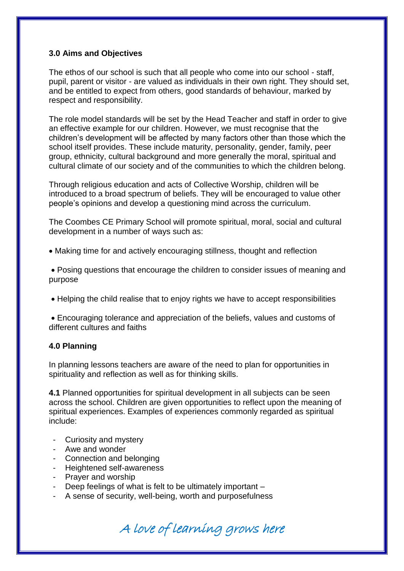# **3.0 Aims and Objectives**

The ethos of our school is such that all people who come into our school - staff, pupil, parent or visitor - are valued as individuals in their own right. They should set, and be entitled to expect from others, good standards of behaviour, marked by respect and responsibility.

The role model standards will be set by the Head Teacher and staff in order to give an effective example for our children. However, we must recognise that the children's development will be affected by many factors other than those which the school itself provides. These include maturity, personality, gender, family, peer group, ethnicity, cultural background and more generally the moral, spiritual and cultural climate of our society and of the communities to which the children belong.

Through religious education and acts of Collective Worship, children will be introduced to a broad spectrum of beliefs. They will be encouraged to value other people's opinions and develop a questioning mind across the curriculum.

The Coombes CE Primary School will promote spiritual, moral, social and cultural development in a number of ways such as:

Making time for and actively encouraging stillness, thought and reflection

 Posing questions that encourage the children to consider issues of meaning and purpose

Helping the child realise that to enjoy rights we have to accept responsibilities

 Encouraging tolerance and appreciation of the beliefs, values and customs of different cultures and faiths

# **4.0 Planning**

In planning lessons teachers are aware of the need to plan for opportunities in spirituality and reflection as well as for thinking skills.

**4.1** Planned opportunities for spiritual development in all subjects can be seen across the school. Children are given opportunities to reflect upon the meaning of spiritual experiences. Examples of experiences commonly regarded as spiritual include:

- Curiosity and mystery
- Awe and wonder
- Connection and belonging
- Heightened self-awareness
- Prayer and worship
- Deep feelings of what is felt to be ultimately important –
- A sense of security, well-being, worth and purposefulness

A love of learning grows here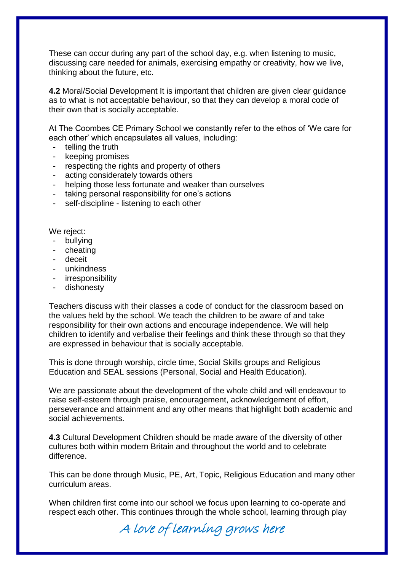These can occur during any part of the school day, e.g. when listening to music, discussing care needed for animals, exercising empathy or creativity, how we live, thinking about the future, etc.

**4.2** Moral/Social Development It is important that children are given clear guidance as to what is not acceptable behaviour, so that they can develop a moral code of their own that is socially acceptable.

At The Coombes CE Primary School we constantly refer to the ethos of 'We care for each other' which encapsulates all values, including:

- telling the truth
- keeping promises
- respecting the rights and property of others
- acting considerately towards others
- helping those less fortunate and weaker than ourselves
- taking personal responsibility for one's actions
- self-discipline listening to each other

We reject:

- bullying
- cheating
- deceit
- unkindness
- irresponsibility
- dishonesty

Teachers discuss with their classes a code of conduct for the classroom based on the values held by the school. We teach the children to be aware of and take responsibility for their own actions and encourage independence. We will help children to identify and verbalise their feelings and think these through so that they are expressed in behaviour that is socially acceptable.

This is done through worship, circle time, Social Skills groups and Religious Education and SEAL sessions (Personal, Social and Health Education).

We are passionate about the development of the whole child and will endeavour to raise self-esteem through praise, encouragement, acknowledgement of effort, perseverance and attainment and any other means that highlight both academic and social achievements.

**4.3** Cultural Development Children should be made aware of the diversity of other cultures both within modern Britain and throughout the world and to celebrate difference.

This can be done through Music, PE, Art, Topic, Religious Education and many other curriculum areas.

When children first come into our school we focus upon learning to co-operate and respect each other. This continues through the whole school, learning through play

A love of learning grows here